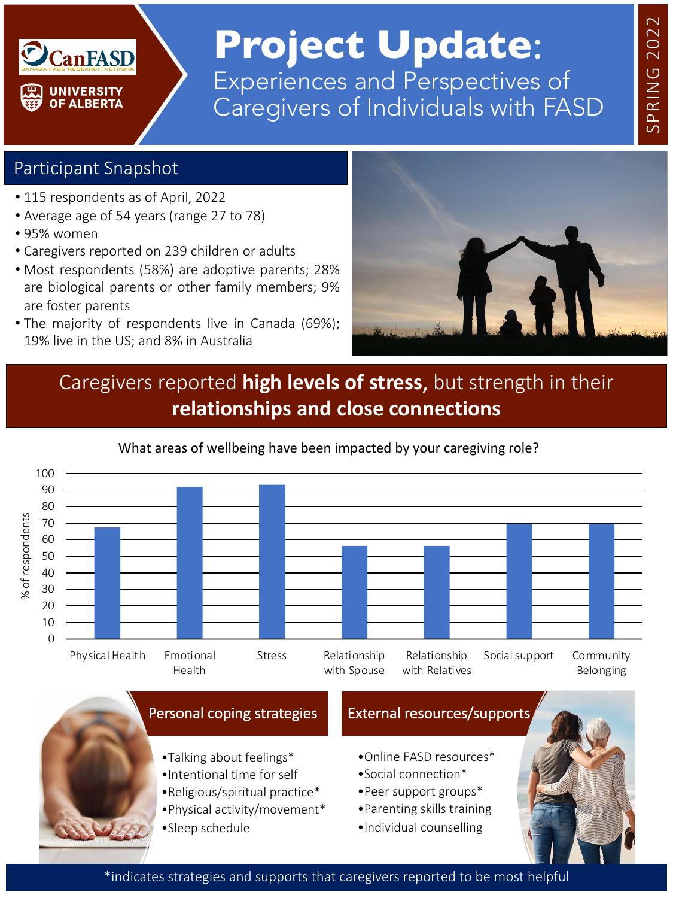### **CanFASD UNIVERSITY OF ALBERTA**

## **Project Update**: Experiences and Perspectives of Caregivers of Individuals with FASD

#### Participant Snapshot

- 115 respondents as of April, 2022
- Average age of 54 years (range 27 to 78)
- 95% women
- Caregivers reported on 239 children or adults
- Most respondents (58%) are adoptive parents; 28% are biological parents or other family members; 9% are foster parents
- The majority of respondents live in Canada (69%); 19% live in the US; and 8% in Australia



#### Caregivers reported **high levels of stress**, but strength in their **relationships and close connections**

#### What areas of wellbeing have been impacted by your caregiving role?100 90 80 % of respondents % of respondents 70 60 50 40 30 20 10  $\Omega$ Physical Health Emotional Stress Relationship Relationship Social support Community with Relatives Health with Spouse Belonging



\*indicates strategies and supports that caregivers reported to be most helpful